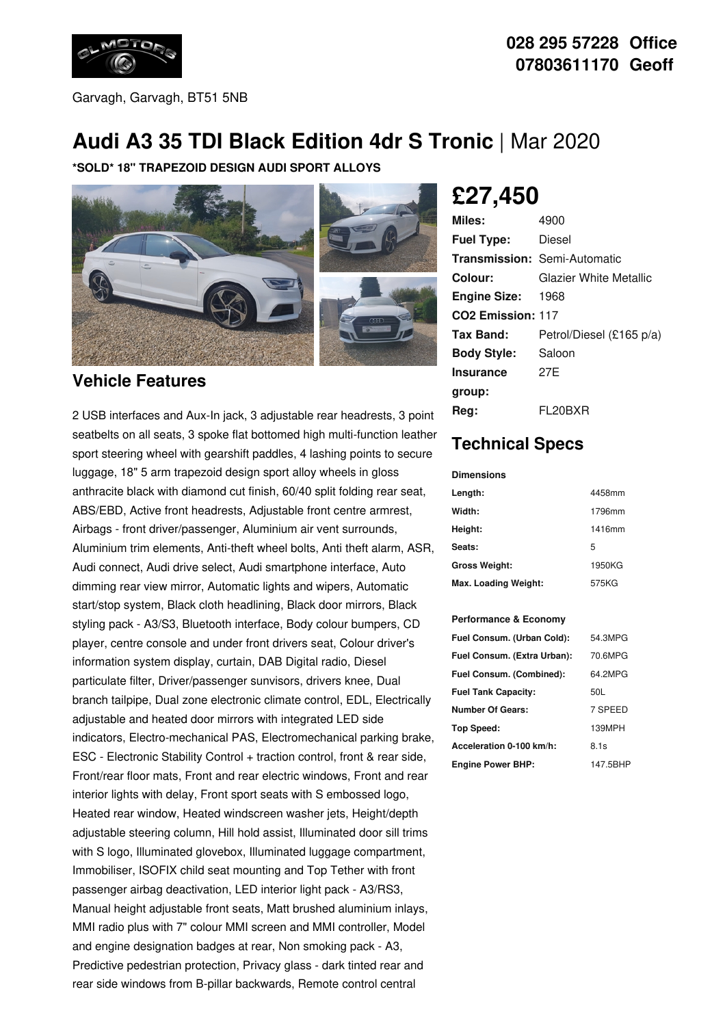

Garvagh, Garvagh, BT51 5NB

#### **028 295 57228 Office 07803611170 Geoff**

# **Audi A3 35 TDI Black Edition 4dr S Tronic** | Mar 2020

**\*SOLD\* 18" TRAPEZOID DESIGN AUDI SPORT ALLOYS**



#### **Vehicle Features**

2 USB interfaces and Aux-In jack, 3 adjustable rear headrests, 3 point seatbelts on all seats, 3 spoke flat bottomed high multi-function leather sport steering wheel with gearshift paddles, 4 lashing points to secure luggage, 18" 5 arm trapezoid design sport alloy wheels in gloss anthracite black with diamond cut finish, 60/40 split folding rear seat, ABS/EBD, Active front headrests, Adjustable front centre armrest, Airbags - front driver/passenger, Aluminium air vent surrounds, Aluminium trim elements, Anti-theft wheel bolts, Anti theft alarm, ASR, Audi connect, Audi drive select, Audi smartphone interface, Auto dimming rear view mirror, Automatic lights and wipers, Automatic start/stop system, Black cloth headlining, Black door mirrors, Black styling pack - A3/S3, Bluetooth interface, Body colour bumpers, CD player, centre console and under front drivers seat, Colour driver's information system display, curtain, DAB Digital radio, Diesel particulate filter, Driver/passenger sunvisors, drivers knee, Dual branch tailpipe, Dual zone electronic climate control, EDL, Electrically adjustable and heated door mirrors with integrated LED side indicators, Electro-mechanical PAS, Electromechanical parking brake, ESC - Electronic Stability Control + traction control, front & rear side, Front/rear floor mats, Front and rear electric windows, Front and rear interior lights with delay, Front sport seats with S embossed logo, Heated rear window, Heated windscreen washer jets, Height/depth adjustable steering column, Hill hold assist, Illuminated door sill trims with S logo, Illuminated glovebox, Illuminated luggage compartment, Immobiliser, ISOFIX child seat mounting and Top Tether with front passenger airbag deactivation, LED interior light pack - A3/RS3, Manual height adjustable front seats, Matt brushed aluminium inlays, MMI radio plus with 7" colour MMI screen and MMI controller, Model and engine designation badges at rear, Non smoking pack - A3, Predictive pedestrian protection, Privacy glass - dark tinted rear and rear side windows from B-pillar backwards, Remote control central

**£27,450**

| Miles:                        | 4900                                |
|-------------------------------|-------------------------------------|
| <b>Fuel Type:</b>             | Diesel                              |
|                               | <b>Transmission: Semi-Automatic</b> |
| Colour:                       | Glazier White Metallic              |
| <b>Engine Size: 1968</b>      |                                     |
| CO <sub>2</sub> Emission: 117 |                                     |
| Tax Band:                     | Petrol/Diesel (£165 p/a)            |
| <b>Body Style:</b>            | Saloon                              |
| <b>Insurance</b>              | 27F                                 |
| group:                        |                                     |
| Reg:                          | FL20BXR                             |

## **Technical Specs**

**Dimensions**

| Length:              | 4458mm |
|----------------------|--------|
| Width:               | 1796mm |
| Height:              | 1416mm |
| Seats:               | 5      |
| <b>Gross Weight:</b> | 1950KG |
| Max. Loading Weight: | 575KG  |

#### **Performance & Economy**

| Fuel Consum. (Urban Cold):  | 54.3MPG  |
|-----------------------------|----------|
| Fuel Consum. (Extra Urban): | 70.6MPG  |
| Fuel Consum. (Combined):    | 64 2MPG  |
| <b>Fuel Tank Capacity:</b>  | 50L      |
| <b>Number Of Gears:</b>     | 7 SPEED  |
| <b>Top Speed:</b>           | 139MPH   |
| Acceleration 0-100 km/h:    | 8.1s     |
| <b>Engine Power BHP:</b>    | 147.5BHP |